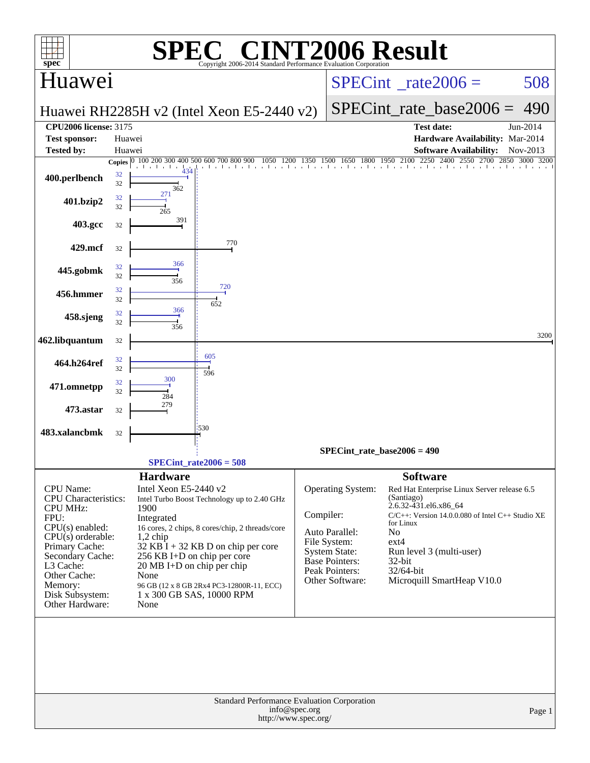| <b>INT2006 Result</b><br>$\blacksquare$<br>SPE<br>$spec*$<br>Copyright 2006-2014 Standard Performance Evaluation Corporation |          |                                      |                                                 |                                       |                                               |                                     |                                                                      |                |  |  |
|------------------------------------------------------------------------------------------------------------------------------|----------|--------------------------------------|-------------------------------------------------|---------------------------------------|-----------------------------------------------|-------------------------------------|----------------------------------------------------------------------|----------------|--|--|
| Huawei                                                                                                                       |          |                                      |                                                 | $SPECint^{\circ}$ rate $2006 =$       |                                               |                                     | 508                                                                  |                |  |  |
|                                                                                                                              |          |                                      | Huawei RH2285H v2 (Intel Xeon E5-2440 v2)       |                                       |                                               | $SPECint$ rate base2006 =           | 490                                                                  |                |  |  |
| <b>CPU2006 license: 3175</b>                                                                                                 |          |                                      |                                                 |                                       |                                               | <b>Test date:</b>                   |                                                                      | Jun-2014       |  |  |
| <b>Test sponsor:</b>                                                                                                         | Huawei   |                                      |                                                 |                                       |                                               |                                     | Hardware Availability: Mar-2014                                      |                |  |  |
| <b>Tested by:</b>                                                                                                            | Huawei   |                                      |                                                 |                                       |                                               |                                     | <b>Software Availability:</b>                                        | Nov-2013       |  |  |
|                                                                                                                              | 32       | Copies 0 100 200 300                 | 400 500 600 700 800 900                         |                                       |                                               |                                     | 00 900 1050 1200 1350 1500 1650 1800 1950 2100 2250 2400 2550 2700 2 | 2850 3000 3200 |  |  |
| 400.perlbench                                                                                                                | 32       | 362                                  |                                                 |                                       |                                               |                                     |                                                                      |                |  |  |
| 401.bzip2                                                                                                                    | 32<br>32 | 271                                  |                                                 |                                       |                                               |                                     |                                                                      |                |  |  |
| 403.gcc                                                                                                                      | 32       | 265<br>391                           |                                                 |                                       |                                               |                                     |                                                                      |                |  |  |
|                                                                                                                              |          |                                      | 770                                             |                                       |                                               |                                     |                                                                      |                |  |  |
| 429.mcf                                                                                                                      | 32       |                                      |                                                 |                                       |                                               |                                     |                                                                      |                |  |  |
| 445.gobmk                                                                                                                    | 32<br>32 | 366                                  |                                                 |                                       |                                               |                                     |                                                                      |                |  |  |
| 456.hmmer                                                                                                                    | 32       | 356                                  | 720                                             |                                       |                                               |                                     |                                                                      |                |  |  |
|                                                                                                                              | 32       | 366                                  | 652                                             |                                       |                                               |                                     |                                                                      |                |  |  |
| 458.sjeng                                                                                                                    | 32<br>32 | 356                                  |                                                 |                                       |                                               |                                     |                                                                      |                |  |  |
| 462.libquantum                                                                                                               | 32       |                                      |                                                 |                                       |                                               |                                     |                                                                      | 3200           |  |  |
|                                                                                                                              | 32       |                                      | 605                                             |                                       |                                               |                                     |                                                                      |                |  |  |
| 464.h264ref                                                                                                                  | 32       | 300                                  | 596                                             |                                       |                                               |                                     |                                                                      |                |  |  |
| 471.omnetpp                                                                                                                  | 32<br>32 | 284                                  |                                                 |                                       |                                               |                                     |                                                                      |                |  |  |
| 473.astar                                                                                                                    | 32       | 279                                  |                                                 |                                       |                                               |                                     |                                                                      |                |  |  |
| 483.xalancbmk                                                                                                                |          |                                      | :530                                            |                                       |                                               |                                     |                                                                      |                |  |  |
|                                                                                                                              | 32       |                                      |                                                 |                                       |                                               |                                     |                                                                      |                |  |  |
|                                                                                                                              |          | $SPECint_rate2006 = 508$             |                                                 |                                       | SPECint rate base2006 = $490$                 |                                     |                                                                      |                |  |  |
|                                                                                                                              |          | <b>Hardware</b>                      |                                                 |                                       |                                               | <b>Software</b>                     |                                                                      |                |  |  |
| <b>CPU</b> Name:                                                                                                             |          | Intel Xeon E5-2440 v2                |                                                 |                                       | Operating System:                             |                                     | Red Hat Enterprise Linux Server release 6.5                          |                |  |  |
| CPU Characteristics:<br><b>CPU MHz:</b>                                                                                      |          | 1900                                 | Intel Turbo Boost Technology up to 2.40 GHz     |                                       |                                               | (Santiago)<br>2.6.32-431.el6.x86_64 |                                                                      |                |  |  |
| FPU:                                                                                                                         |          | Integrated                           |                                                 |                                       | Compiler:                                     |                                     | C/C++: Version 14.0.0.080 of Intel C++ Studio XE                     |                |  |  |
| $CPU(s)$ enabled:                                                                                                            |          |                                      | 16 cores, 2 chips, 8 cores/chip, 2 threads/core |                                       | Auto Parallel:                                | for Linux<br>No                     |                                                                      |                |  |  |
| CPU(s) orderable:<br>Primary Cache:                                                                                          |          | $1,2$ chip                           | $32$ KB I + 32 KB D on chip per core            |                                       | File System:                                  | $ext{4}$                            |                                                                      |                |  |  |
| Secondary Cache:                                                                                                             |          | 256 KB I+D on chip per core          |                                                 |                                       | <b>System State:</b><br><b>Base Pointers:</b> | Run level 3 (multi-user)            |                                                                      |                |  |  |
| L3 Cache:                                                                                                                    |          | $20 \text{ MB I+D}$ on chip per chip |                                                 |                                       | Peak Pointers:                                | $32$ -bit<br>32/64-bit              |                                                                      |                |  |  |
| Other Cache:<br>Memory:                                                                                                      |          | None                                 | 96 GB (12 x 8 GB 2Rx4 PC3-12800R-11, ECC)       |                                       | Other Software:                               |                                     | Microquill SmartHeap V10.0                                           |                |  |  |
| Disk Subsystem:                                                                                                              |          | 1 x 300 GB SAS, 10000 RPM            |                                                 |                                       |                                               |                                     |                                                                      |                |  |  |
| Other Hardware:                                                                                                              |          | None                                 |                                                 |                                       |                                               |                                     |                                                                      |                |  |  |
|                                                                                                                              |          |                                      |                                                 |                                       |                                               |                                     |                                                                      |                |  |  |
|                                                                                                                              |          |                                      | Standard Performance Evaluation Corporation     | info@spec.org<br>http://www.spec.org/ |                                               |                                     |                                                                      | Page 1         |  |  |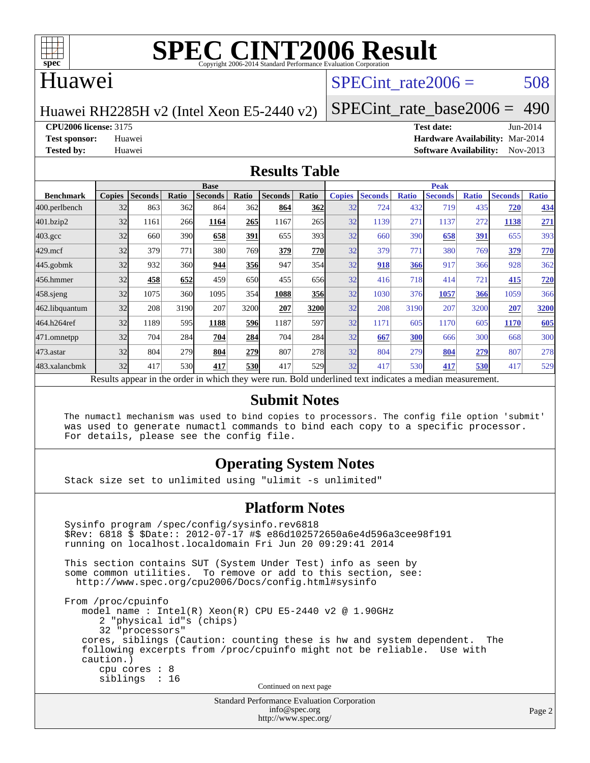

#### Huawei

#### SPECint rate $2006 = 508$

Huawei RH2285H v2 (Intel Xeon E5-2440 v2)

[SPECint\\_rate\\_base2006 =](http://www.spec.org/auto/cpu2006/Docs/result-fields.html#SPECintratebase2006) 490

**[CPU2006 license:](http://www.spec.org/auto/cpu2006/Docs/result-fields.html#CPU2006license)** 3175 **[Test date:](http://www.spec.org/auto/cpu2006/Docs/result-fields.html#Testdate)** Jun-2014

**[Test sponsor:](http://www.spec.org/auto/cpu2006/Docs/result-fields.html#Testsponsor)** Huawei **[Hardware Availability:](http://www.spec.org/auto/cpu2006/Docs/result-fields.html#HardwareAvailability)** Mar-2014 **[Tested by:](http://www.spec.org/auto/cpu2006/Docs/result-fields.html#Testedby)** Huawei **[Software Availability:](http://www.spec.org/auto/cpu2006/Docs/result-fields.html#SoftwareAvailability)** Nov-2013

#### **[Results Table](http://www.spec.org/auto/cpu2006/Docs/result-fields.html#ResultsTable)**

|                                                                                                          | <b>Base</b>   |                |       |                |            |                |            | <b>Peak</b>   |                |              |                |              |                |              |
|----------------------------------------------------------------------------------------------------------|---------------|----------------|-------|----------------|------------|----------------|------------|---------------|----------------|--------------|----------------|--------------|----------------|--------------|
| <b>Benchmark</b>                                                                                         | <b>Copies</b> | <b>Seconds</b> | Ratio | <b>Seconds</b> | Ratio      | <b>Seconds</b> | Ratio      | <b>Copies</b> | <b>Seconds</b> | <b>Ratio</b> | <b>Seconds</b> | <b>Ratio</b> | <b>Seconds</b> | <b>Ratio</b> |
| 400.perlbench                                                                                            | 32            | 863            | 362   | 864            | 362I       | 864            | 362        | 32            | 724            | 432          | 719            | 435          | 720            | 434          |
| 401.bzip2                                                                                                | 32            | 1161           | 266   | 1164           | 265        | 1167           | 265        | 32            | 1139           | 271          | 1137           | 272          | 1138           | 271          |
| $403.\mathrm{gcc}$                                                                                       | 32            | 660            | 390   | 658            | 391        | 655            | 393        | 32            | 660            | 390          | 658            | <u>391</u>   | 655            | 393          |
| $429$ .mcf                                                                                               | 32            | 379            | 771   | 380            | 769        | 379            | 770        | 32            | 379            | 771          | 380            | 769          | 379            | 770          |
| $445$ .gobmk                                                                                             | 32            | 932            | 360   | 944            | 356        | 947            | 354        | 32            | 918            | 366          | 917            | 366          | 928            | 362          |
| 456.hmmer                                                                                                | 32            | 458            | 652   | 459            | 650        | 455            | 656        | 32            | 416            | 718          | 414            | 721          | 415            | <b>720</b>   |
| $458$ .sjeng                                                                                             | 32            | 1075           | 360   | 1095           | 354        | 1088           | <b>356</b> | 32            | 1030           | 376          | 1057           | 366          | 1059           | 366          |
| 462.libquantum                                                                                           | 32            | 208            | 3190  | 207            | 3200       | 207            | 3200       | 32            | 208            | 3190         | 207            | 3200         | 207            | 3200         |
| 464.h264ref                                                                                              | 32            | 1189           | 595   | 1188           | 596        | 1187           | 597        | 32            | 1171           | 605          | 1170           | 605          | 1170           | 605          |
| 471.omnetpp                                                                                              | 32            | 704            | 284   | 704            | 284        | 704            | 284        | 32            | 667            | 300          | 666            | 300          | 668            | 300          |
| $473$ . astar                                                                                            | 32            | 804            | 279   | 804            | 279        | 807            | 278        | 32            | 804            | 279          | 804            | 279          | 807            | 278          |
| 483.xalancbmk                                                                                            | 32            | 417            | 530   | 417            | <b>530</b> | 417            | 529        | 32            | 417            | 530          | 417            | 530          | 417            | 529          |
| Results appear in the order in which they were run. Bold underlined text indicates a median measurement. |               |                |       |                |            |                |            |               |                |              |                |              |                |              |

#### **[Submit Notes](http://www.spec.org/auto/cpu2006/Docs/result-fields.html#SubmitNotes)**

 The numactl mechanism was used to bind copies to processors. The config file option 'submit' was used to generate numactl commands to bind each copy to a specific processor. For details, please see the config file.

#### **[Operating System Notes](http://www.spec.org/auto/cpu2006/Docs/result-fields.html#OperatingSystemNotes)**

Stack size set to unlimited using "ulimit -s unlimited"

#### **[Platform Notes](http://www.spec.org/auto/cpu2006/Docs/result-fields.html#PlatformNotes)**

```
Standard Performance Evaluation Corporation
 Sysinfo program /spec/config/sysinfo.rev6818
 $Rev: 6818 $ $Date:: 2012-07-17 #$ e86d102572650a6e4d596a3cee98f191
 running on localhost.localdomain Fri Jun 20 09:29:41 2014
 This section contains SUT (System Under Test) info as seen by
some common utilities. To remove or add to this section, see:
  http://www.spec.org/cpu2006/Docs/config.html#sysinfo
 From /proc/cpuinfo
    model name : Intel(R) Xeon(R) CPU E5-2440 v2 @ 1.90GHz
       2 "physical id"s (chips)
       32 "processors"
    cores, siblings (Caution: counting these is hw and system dependent. The
    following excerpts from /proc/cpuinfo might not be reliable. Use with
    caution.)
       cpu cores : 8
       siblings : 16
                                   Continued on next page
```
[info@spec.org](mailto:info@spec.org) <http://www.spec.org/>

Page 2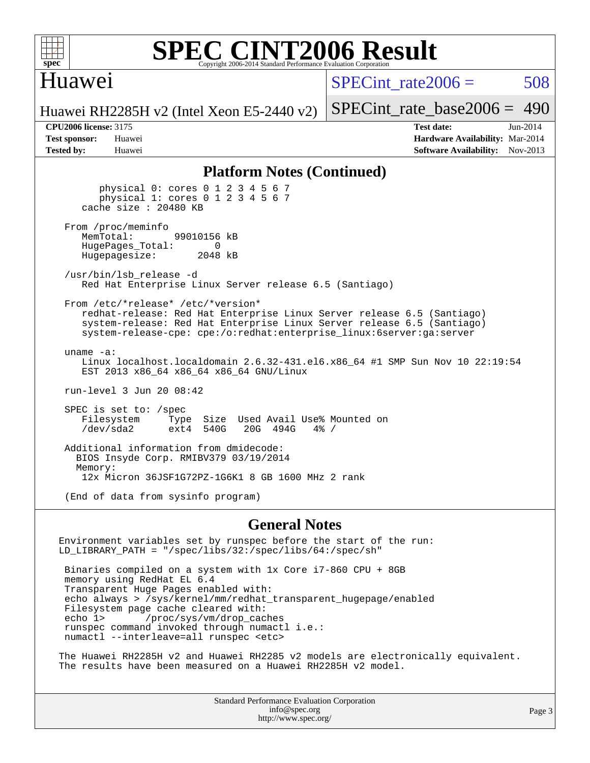

#### Huawei

SPECint rate $2006 = 508$ 

Huawei RH2285H v2 (Intel Xeon E5-2440 v2)

**[Test sponsor:](http://www.spec.org/auto/cpu2006/Docs/result-fields.html#Testsponsor)** Huawei **[Hardware Availability:](http://www.spec.org/auto/cpu2006/Docs/result-fields.html#HardwareAvailability)** Mar-2014 **[Tested by:](http://www.spec.org/auto/cpu2006/Docs/result-fields.html#Testedby)** Huawei **[Software Availability:](http://www.spec.org/auto/cpu2006/Docs/result-fields.html#SoftwareAvailability)** Nov-2013

[SPECint\\_rate\\_base2006 =](http://www.spec.org/auto/cpu2006/Docs/result-fields.html#SPECintratebase2006) 490 **[CPU2006 license:](http://www.spec.org/auto/cpu2006/Docs/result-fields.html#CPU2006license)** 3175 **[Test date:](http://www.spec.org/auto/cpu2006/Docs/result-fields.html#Testdate)** Jun-2014

#### **[Platform Notes \(Continued\)](http://www.spec.org/auto/cpu2006/Docs/result-fields.html#PlatformNotes)**

 physical 0: cores 0 1 2 3 4 5 6 7 physical 1: cores 0 1 2 3 4 5 6 7 cache size : 20480 KB From /proc/meminfo<br>MemTotal: 99010156 kB HugePages\_Total: 0<br>Hugepagesize: 2048 kB Hugepagesize: /usr/bin/lsb\_release -d Red Hat Enterprise Linux Server release 6.5 (Santiago) From /etc/\*release\* /etc/\*version\* redhat-release: Red Hat Enterprise Linux Server release 6.5 (Santiago) system-release: Red Hat Enterprise Linux Server release 6.5 (Santiago) system-release-cpe: cpe:/o:redhat:enterprise\_linux:6server:ga:server uname -a: Linux localhost.localdomain 2.6.32-431.el6.x86\_64 #1 SMP Sun Nov 10 22:19:54 EST 2013 x86 64 x86 64 x86 64 GNU/Linux run-level 3 Jun 20 08:42 SPEC is set to: /spec Filesystem Type Size Used Avail Use% Mounted on<br>
/dev/sda2 ext4 540G 20G 494G 4% /  $ext4$  540G Additional information from dmidecode: BIOS Insyde Corp. RMIBV379 03/19/2014 Memory: 12x Micron 36JSF1G72PZ-1G6K1 8 GB 1600 MHz 2 rank (End of data from sysinfo program)

#### **[General Notes](http://www.spec.org/auto/cpu2006/Docs/result-fields.html#GeneralNotes)**

Environment variables set by runspec before the start of the run: LD\_LIBRARY\_PATH = "/spec/libs/32:/spec/libs/64:/spec/sh" Binaries compiled on a system with 1x Core i7-860 CPU + 8GB memory using RedHat EL 6.4 Transparent Huge Pages enabled with: echo always > /sys/kernel/mm/redhat\_transparent\_hugepage/enabled Filesystem page cache cleared with: echo 1> /proc/sys/vm/drop\_caches runspec command invoked through numactl i.e.: numactl --interleave=all runspec <etc>

The Huawei RH2285H v2 and Huawei RH2285 v2 models are electronically equivalent. The results have been measured on a Huawei RH2285H v2 model.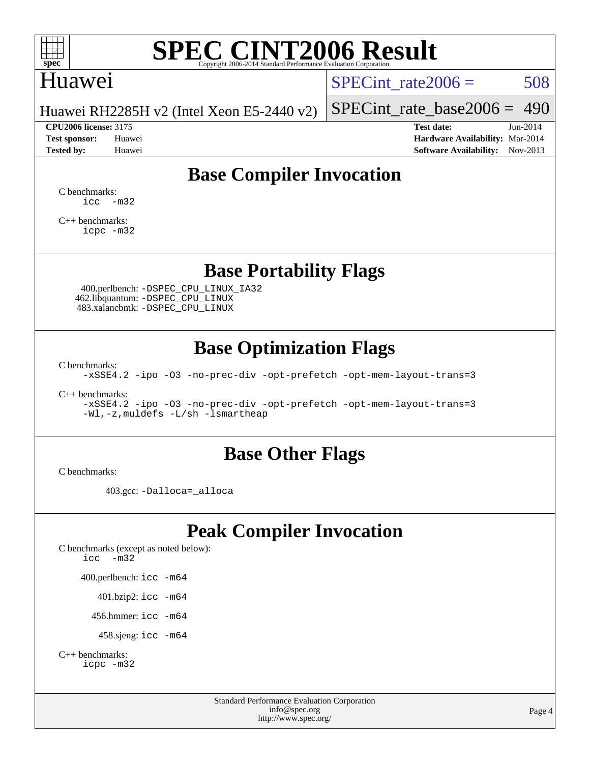

#### Huawei

SPECint rate $2006 = 508$ 

Huawei RH2285H v2 (Intel Xeon E5-2440 v2)

[SPECint\\_rate\\_base2006 =](http://www.spec.org/auto/cpu2006/Docs/result-fields.html#SPECintratebase2006) 490 **[CPU2006 license:](http://www.spec.org/auto/cpu2006/Docs/result-fields.html#CPU2006license)** 3175 **[Test date:](http://www.spec.org/auto/cpu2006/Docs/result-fields.html#Testdate)** Jun-2014

**[Test sponsor:](http://www.spec.org/auto/cpu2006/Docs/result-fields.html#Testsponsor)** Huawei **[Hardware Availability:](http://www.spec.org/auto/cpu2006/Docs/result-fields.html#HardwareAvailability)** Mar-2014 **[Tested by:](http://www.spec.org/auto/cpu2006/Docs/result-fields.html#Testedby)** Huawei **[Software Availability:](http://www.spec.org/auto/cpu2006/Docs/result-fields.html#SoftwareAvailability)** Nov-2013

### **[Base Compiler Invocation](http://www.spec.org/auto/cpu2006/Docs/result-fields.html#BaseCompilerInvocation)**

[C benchmarks](http://www.spec.org/auto/cpu2006/Docs/result-fields.html#Cbenchmarks):  $\text{icc}$   $-\text{m32}$ 

[C++ benchmarks:](http://www.spec.org/auto/cpu2006/Docs/result-fields.html#CXXbenchmarks) [icpc -m32](http://www.spec.org/cpu2006/results/res2014q3/cpu2006-20140623-29992.flags.html#user_CXXbase_intel_icpc_4e5a5ef1a53fd332b3c49e69c3330699)

**[Base Portability Flags](http://www.spec.org/auto/cpu2006/Docs/result-fields.html#BasePortabilityFlags)**

 400.perlbench: [-DSPEC\\_CPU\\_LINUX\\_IA32](http://www.spec.org/cpu2006/results/res2014q3/cpu2006-20140623-29992.flags.html#b400.perlbench_baseCPORTABILITY_DSPEC_CPU_LINUX_IA32) 462.libquantum: [-DSPEC\\_CPU\\_LINUX](http://www.spec.org/cpu2006/results/res2014q3/cpu2006-20140623-29992.flags.html#b462.libquantum_baseCPORTABILITY_DSPEC_CPU_LINUX) 483.xalancbmk: [-DSPEC\\_CPU\\_LINUX](http://www.spec.org/cpu2006/results/res2014q3/cpu2006-20140623-29992.flags.html#b483.xalancbmk_baseCXXPORTABILITY_DSPEC_CPU_LINUX)

### **[Base Optimization Flags](http://www.spec.org/auto/cpu2006/Docs/result-fields.html#BaseOptimizationFlags)**

[C benchmarks](http://www.spec.org/auto/cpu2006/Docs/result-fields.html#Cbenchmarks):

[-xSSE4.2](http://www.spec.org/cpu2006/results/res2014q3/cpu2006-20140623-29992.flags.html#user_CCbase_f-xSSE42_f91528193cf0b216347adb8b939d4107) [-ipo](http://www.spec.org/cpu2006/results/res2014q3/cpu2006-20140623-29992.flags.html#user_CCbase_f-ipo) [-O3](http://www.spec.org/cpu2006/results/res2014q3/cpu2006-20140623-29992.flags.html#user_CCbase_f-O3) [-no-prec-div](http://www.spec.org/cpu2006/results/res2014q3/cpu2006-20140623-29992.flags.html#user_CCbase_f-no-prec-div) [-opt-prefetch](http://www.spec.org/cpu2006/results/res2014q3/cpu2006-20140623-29992.flags.html#user_CCbase_f-opt-prefetch) [-opt-mem-layout-trans=3](http://www.spec.org/cpu2006/results/res2014q3/cpu2006-20140623-29992.flags.html#user_CCbase_f-opt-mem-layout-trans_a7b82ad4bd7abf52556d4961a2ae94d5)

[C++ benchmarks:](http://www.spec.org/auto/cpu2006/Docs/result-fields.html#CXXbenchmarks)

[-xSSE4.2](http://www.spec.org/cpu2006/results/res2014q3/cpu2006-20140623-29992.flags.html#user_CXXbase_f-xSSE42_f91528193cf0b216347adb8b939d4107) [-ipo](http://www.spec.org/cpu2006/results/res2014q3/cpu2006-20140623-29992.flags.html#user_CXXbase_f-ipo) [-O3](http://www.spec.org/cpu2006/results/res2014q3/cpu2006-20140623-29992.flags.html#user_CXXbase_f-O3) [-no-prec-div](http://www.spec.org/cpu2006/results/res2014q3/cpu2006-20140623-29992.flags.html#user_CXXbase_f-no-prec-div) [-opt-prefetch](http://www.spec.org/cpu2006/results/res2014q3/cpu2006-20140623-29992.flags.html#user_CXXbase_f-opt-prefetch) [-opt-mem-layout-trans=3](http://www.spec.org/cpu2006/results/res2014q3/cpu2006-20140623-29992.flags.html#user_CXXbase_f-opt-mem-layout-trans_a7b82ad4bd7abf52556d4961a2ae94d5) [-Wl,-z,muldefs](http://www.spec.org/cpu2006/results/res2014q3/cpu2006-20140623-29992.flags.html#user_CXXbase_link_force_multiple1_74079c344b956b9658436fd1b6dd3a8a) [-L/sh -lsmartheap](http://www.spec.org/cpu2006/results/res2014q3/cpu2006-20140623-29992.flags.html#user_CXXbase_SmartHeap_32f6c82aa1ed9c52345d30cf6e4a0499)

#### **[Base Other Flags](http://www.spec.org/auto/cpu2006/Docs/result-fields.html#BaseOtherFlags)**

[C benchmarks](http://www.spec.org/auto/cpu2006/Docs/result-fields.html#Cbenchmarks):

403.gcc: [-Dalloca=\\_alloca](http://www.spec.org/cpu2006/results/res2014q3/cpu2006-20140623-29992.flags.html#b403.gcc_baseEXTRA_CFLAGS_Dalloca_be3056838c12de2578596ca5467af7f3)

### **[Peak Compiler Invocation](http://www.spec.org/auto/cpu2006/Docs/result-fields.html#PeakCompilerInvocation)**

[C benchmarks \(except as noted below\)](http://www.spec.org/auto/cpu2006/Docs/result-fields.html#Cbenchmarksexceptasnotedbelow): [icc -m32](http://www.spec.org/cpu2006/results/res2014q3/cpu2006-20140623-29992.flags.html#user_CCpeak_intel_icc_5ff4a39e364c98233615fdd38438c6f2) 400.perlbench: [icc -m64](http://www.spec.org/cpu2006/results/res2014q3/cpu2006-20140623-29992.flags.html#user_peakCCLD400_perlbench_intel_icc_64bit_bda6cc9af1fdbb0edc3795bac97ada53) 401.bzip2: [icc -m64](http://www.spec.org/cpu2006/results/res2014q3/cpu2006-20140623-29992.flags.html#user_peakCCLD401_bzip2_intel_icc_64bit_bda6cc9af1fdbb0edc3795bac97ada53)

456.hmmer: [icc -m64](http://www.spec.org/cpu2006/results/res2014q3/cpu2006-20140623-29992.flags.html#user_peakCCLD456_hmmer_intel_icc_64bit_bda6cc9af1fdbb0edc3795bac97ada53)

458.sjeng: [icc -m64](http://www.spec.org/cpu2006/results/res2014q3/cpu2006-20140623-29992.flags.html#user_peakCCLD458_sjeng_intel_icc_64bit_bda6cc9af1fdbb0edc3795bac97ada53)

```
C++ benchmarks: 
    icpc -m32
```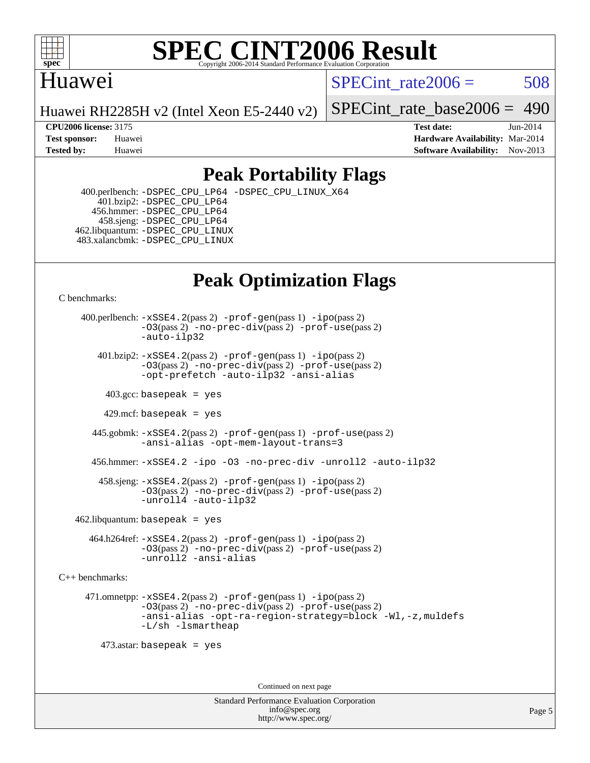

### Huawei

SPECint rate $2006 = 508$ 

Huawei RH2285H v2 (Intel Xeon E5-2440 v2)

[SPECint\\_rate\\_base2006 =](http://www.spec.org/auto/cpu2006/Docs/result-fields.html#SPECintratebase2006) 490

**[CPU2006 license:](http://www.spec.org/auto/cpu2006/Docs/result-fields.html#CPU2006license)** 3175 **[Test date:](http://www.spec.org/auto/cpu2006/Docs/result-fields.html#Testdate)** Jun-2014 **[Test sponsor:](http://www.spec.org/auto/cpu2006/Docs/result-fields.html#Testsponsor)** Huawei **[Hardware Availability:](http://www.spec.org/auto/cpu2006/Docs/result-fields.html#HardwareAvailability)** Mar-2014 **[Tested by:](http://www.spec.org/auto/cpu2006/Docs/result-fields.html#Testedby)** Huawei **[Software Availability:](http://www.spec.org/auto/cpu2006/Docs/result-fields.html#SoftwareAvailability)** Nov-2013

### **[Peak Portability Flags](http://www.spec.org/auto/cpu2006/Docs/result-fields.html#PeakPortabilityFlags)**

 400.perlbench: [-DSPEC\\_CPU\\_LP64](http://www.spec.org/cpu2006/results/res2014q3/cpu2006-20140623-29992.flags.html#b400.perlbench_peakCPORTABILITY_DSPEC_CPU_LP64) [-DSPEC\\_CPU\\_LINUX\\_X64](http://www.spec.org/cpu2006/results/res2014q3/cpu2006-20140623-29992.flags.html#b400.perlbench_peakCPORTABILITY_DSPEC_CPU_LINUX_X64) 401.bzip2: [-DSPEC\\_CPU\\_LP64](http://www.spec.org/cpu2006/results/res2014q3/cpu2006-20140623-29992.flags.html#suite_peakCPORTABILITY401_bzip2_DSPEC_CPU_LP64) 456.hmmer: [-DSPEC\\_CPU\\_LP64](http://www.spec.org/cpu2006/results/res2014q3/cpu2006-20140623-29992.flags.html#suite_peakCPORTABILITY456_hmmer_DSPEC_CPU_LP64) 458.sjeng: [-DSPEC\\_CPU\\_LP64](http://www.spec.org/cpu2006/results/res2014q3/cpu2006-20140623-29992.flags.html#suite_peakCPORTABILITY458_sjeng_DSPEC_CPU_LP64) 462.libquantum: [-DSPEC\\_CPU\\_LINUX](http://www.spec.org/cpu2006/results/res2014q3/cpu2006-20140623-29992.flags.html#b462.libquantum_peakCPORTABILITY_DSPEC_CPU_LINUX) 483.xalancbmk: [-DSPEC\\_CPU\\_LINUX](http://www.spec.org/cpu2006/results/res2014q3/cpu2006-20140623-29992.flags.html#b483.xalancbmk_peakCXXPORTABILITY_DSPEC_CPU_LINUX)

## **[Peak Optimization Flags](http://www.spec.org/auto/cpu2006/Docs/result-fields.html#PeakOptimizationFlags)**

[C benchmarks](http://www.spec.org/auto/cpu2006/Docs/result-fields.html#Cbenchmarks):

 400.perlbench: [-xSSE4.2](http://www.spec.org/cpu2006/results/res2014q3/cpu2006-20140623-29992.flags.html#user_peakPASS2_CFLAGSPASS2_LDCFLAGS400_perlbench_f-xSSE42_f91528193cf0b216347adb8b939d4107)(pass 2) [-prof-gen](http://www.spec.org/cpu2006/results/res2014q3/cpu2006-20140623-29992.flags.html#user_peakPASS1_CFLAGSPASS1_LDCFLAGS400_perlbench_prof_gen_e43856698f6ca7b7e442dfd80e94a8fc)(pass 1) [-ipo](http://www.spec.org/cpu2006/results/res2014q3/cpu2006-20140623-29992.flags.html#user_peakPASS2_CFLAGSPASS2_LDCFLAGS400_perlbench_f-ipo)(pass 2) [-O3](http://www.spec.org/cpu2006/results/res2014q3/cpu2006-20140623-29992.flags.html#user_peakPASS2_CFLAGSPASS2_LDCFLAGS400_perlbench_f-O3)(pass 2) [-no-prec-div](http://www.spec.org/cpu2006/results/res2014q3/cpu2006-20140623-29992.flags.html#user_peakPASS2_CFLAGSPASS2_LDCFLAGS400_perlbench_f-no-prec-div)(pass 2) [-prof-use](http://www.spec.org/cpu2006/results/res2014q3/cpu2006-20140623-29992.flags.html#user_peakPASS2_CFLAGSPASS2_LDCFLAGS400_perlbench_prof_use_bccf7792157ff70d64e32fe3e1250b55)(pass 2) [-auto-ilp32](http://www.spec.org/cpu2006/results/res2014q3/cpu2006-20140623-29992.flags.html#user_peakCOPTIMIZE400_perlbench_f-auto-ilp32)  $401.bzip2: -xSSE4.2(pass 2) -prof-qen(pass 1) -ipo(pass 2)$  $401.bzip2: -xSSE4.2(pass 2) -prof-qen(pass 1) -ipo(pass 2)$  $401.bzip2: -xSSE4.2(pass 2) -prof-qen(pass 1) -ipo(pass 2)$  $401.bzip2: -xSSE4.2(pass 2) -prof-qen(pass 1) -ipo(pass 2)$  $401.bzip2: -xSSE4.2(pass 2) -prof-qen(pass 1) -ipo(pass 2)$ [-O3](http://www.spec.org/cpu2006/results/res2014q3/cpu2006-20140623-29992.flags.html#user_peakPASS2_CFLAGSPASS2_LDCFLAGS401_bzip2_f-O3)(pass 2) [-no-prec-div](http://www.spec.org/cpu2006/results/res2014q3/cpu2006-20140623-29992.flags.html#user_peakPASS2_CFLAGSPASS2_LDCFLAGS401_bzip2_f-no-prec-div)(pass 2) [-prof-use](http://www.spec.org/cpu2006/results/res2014q3/cpu2006-20140623-29992.flags.html#user_peakPASS2_CFLAGSPASS2_LDCFLAGS401_bzip2_prof_use_bccf7792157ff70d64e32fe3e1250b55)(pass 2) [-opt-prefetch](http://www.spec.org/cpu2006/results/res2014q3/cpu2006-20140623-29992.flags.html#user_peakCOPTIMIZE401_bzip2_f-opt-prefetch) [-auto-ilp32](http://www.spec.org/cpu2006/results/res2014q3/cpu2006-20140623-29992.flags.html#user_peakCOPTIMIZE401_bzip2_f-auto-ilp32) [-ansi-alias](http://www.spec.org/cpu2006/results/res2014q3/cpu2006-20140623-29992.flags.html#user_peakCOPTIMIZE401_bzip2_f-ansi-alias)  $403.\text{sec: basepeak}$  = yes 429.mcf: basepeak = yes 445.gobmk: [-xSSE4.2](http://www.spec.org/cpu2006/results/res2014q3/cpu2006-20140623-29992.flags.html#user_peakPASS2_CFLAGSPASS2_LDCFLAGS445_gobmk_f-xSSE42_f91528193cf0b216347adb8b939d4107)(pass 2) [-prof-gen](http://www.spec.org/cpu2006/results/res2014q3/cpu2006-20140623-29992.flags.html#user_peakPASS1_CFLAGSPASS1_LDCFLAGS445_gobmk_prof_gen_e43856698f6ca7b7e442dfd80e94a8fc)(pass 1) [-prof-use](http://www.spec.org/cpu2006/results/res2014q3/cpu2006-20140623-29992.flags.html#user_peakPASS2_CFLAGSPASS2_LDCFLAGS445_gobmk_prof_use_bccf7792157ff70d64e32fe3e1250b55)(pass 2) [-ansi-alias](http://www.spec.org/cpu2006/results/res2014q3/cpu2006-20140623-29992.flags.html#user_peakCOPTIMIZE445_gobmk_f-ansi-alias) [-opt-mem-layout-trans=3](http://www.spec.org/cpu2006/results/res2014q3/cpu2006-20140623-29992.flags.html#user_peakCOPTIMIZE445_gobmk_f-opt-mem-layout-trans_a7b82ad4bd7abf52556d4961a2ae94d5) 456.hmmer: [-xSSE4.2](http://www.spec.org/cpu2006/results/res2014q3/cpu2006-20140623-29992.flags.html#user_peakCOPTIMIZE456_hmmer_f-xSSE42_f91528193cf0b216347adb8b939d4107) [-ipo](http://www.spec.org/cpu2006/results/res2014q3/cpu2006-20140623-29992.flags.html#user_peakCOPTIMIZE456_hmmer_f-ipo) [-O3](http://www.spec.org/cpu2006/results/res2014q3/cpu2006-20140623-29992.flags.html#user_peakCOPTIMIZE456_hmmer_f-O3) [-no-prec-div](http://www.spec.org/cpu2006/results/res2014q3/cpu2006-20140623-29992.flags.html#user_peakCOPTIMIZE456_hmmer_f-no-prec-div) [-unroll2](http://www.spec.org/cpu2006/results/res2014q3/cpu2006-20140623-29992.flags.html#user_peakCOPTIMIZE456_hmmer_f-unroll_784dae83bebfb236979b41d2422d7ec2) [-auto-ilp32](http://www.spec.org/cpu2006/results/res2014q3/cpu2006-20140623-29992.flags.html#user_peakCOPTIMIZE456_hmmer_f-auto-ilp32) 458.sjeng: [-xSSE4.2](http://www.spec.org/cpu2006/results/res2014q3/cpu2006-20140623-29992.flags.html#user_peakPASS2_CFLAGSPASS2_LDCFLAGS458_sjeng_f-xSSE42_f91528193cf0b216347adb8b939d4107)(pass 2) [-prof-gen](http://www.spec.org/cpu2006/results/res2014q3/cpu2006-20140623-29992.flags.html#user_peakPASS1_CFLAGSPASS1_LDCFLAGS458_sjeng_prof_gen_e43856698f6ca7b7e442dfd80e94a8fc)(pass 1) [-ipo](http://www.spec.org/cpu2006/results/res2014q3/cpu2006-20140623-29992.flags.html#user_peakPASS2_CFLAGSPASS2_LDCFLAGS458_sjeng_f-ipo)(pass 2) [-O3](http://www.spec.org/cpu2006/results/res2014q3/cpu2006-20140623-29992.flags.html#user_peakPASS2_CFLAGSPASS2_LDCFLAGS458_sjeng_f-O3)(pass 2) [-no-prec-div](http://www.spec.org/cpu2006/results/res2014q3/cpu2006-20140623-29992.flags.html#user_peakPASS2_CFLAGSPASS2_LDCFLAGS458_sjeng_f-no-prec-div)(pass 2) [-prof-use](http://www.spec.org/cpu2006/results/res2014q3/cpu2006-20140623-29992.flags.html#user_peakPASS2_CFLAGSPASS2_LDCFLAGS458_sjeng_prof_use_bccf7792157ff70d64e32fe3e1250b55)(pass 2) [-unroll4](http://www.spec.org/cpu2006/results/res2014q3/cpu2006-20140623-29992.flags.html#user_peakCOPTIMIZE458_sjeng_f-unroll_4e5e4ed65b7fd20bdcd365bec371b81f) [-auto-ilp32](http://www.spec.org/cpu2006/results/res2014q3/cpu2006-20140623-29992.flags.html#user_peakCOPTIMIZE458_sjeng_f-auto-ilp32)  $462$ .libquantum: basepeak = yes 464.h264ref: [-xSSE4.2](http://www.spec.org/cpu2006/results/res2014q3/cpu2006-20140623-29992.flags.html#user_peakPASS2_CFLAGSPASS2_LDCFLAGS464_h264ref_f-xSSE42_f91528193cf0b216347adb8b939d4107)(pass 2) [-prof-gen](http://www.spec.org/cpu2006/results/res2014q3/cpu2006-20140623-29992.flags.html#user_peakPASS1_CFLAGSPASS1_LDCFLAGS464_h264ref_prof_gen_e43856698f6ca7b7e442dfd80e94a8fc)(pass 1) [-ipo](http://www.spec.org/cpu2006/results/res2014q3/cpu2006-20140623-29992.flags.html#user_peakPASS2_CFLAGSPASS2_LDCFLAGS464_h264ref_f-ipo)(pass 2) [-O3](http://www.spec.org/cpu2006/results/res2014q3/cpu2006-20140623-29992.flags.html#user_peakPASS2_CFLAGSPASS2_LDCFLAGS464_h264ref_f-O3)(pass 2) [-no-prec-div](http://www.spec.org/cpu2006/results/res2014q3/cpu2006-20140623-29992.flags.html#user_peakPASS2_CFLAGSPASS2_LDCFLAGS464_h264ref_f-no-prec-div)(pass 2) [-prof-use](http://www.spec.org/cpu2006/results/res2014q3/cpu2006-20140623-29992.flags.html#user_peakPASS2_CFLAGSPASS2_LDCFLAGS464_h264ref_prof_use_bccf7792157ff70d64e32fe3e1250b55)(pass 2) [-unroll2](http://www.spec.org/cpu2006/results/res2014q3/cpu2006-20140623-29992.flags.html#user_peakCOPTIMIZE464_h264ref_f-unroll_784dae83bebfb236979b41d2422d7ec2) [-ansi-alias](http://www.spec.org/cpu2006/results/res2014q3/cpu2006-20140623-29992.flags.html#user_peakCOPTIMIZE464_h264ref_f-ansi-alias) [C++ benchmarks:](http://www.spec.org/auto/cpu2006/Docs/result-fields.html#CXXbenchmarks)

 471.omnetpp: [-xSSE4.2](http://www.spec.org/cpu2006/results/res2014q3/cpu2006-20140623-29992.flags.html#user_peakPASS2_CXXFLAGSPASS2_LDCXXFLAGS471_omnetpp_f-xSSE42_f91528193cf0b216347adb8b939d4107)(pass 2) [-prof-gen](http://www.spec.org/cpu2006/results/res2014q3/cpu2006-20140623-29992.flags.html#user_peakPASS1_CXXFLAGSPASS1_LDCXXFLAGS471_omnetpp_prof_gen_e43856698f6ca7b7e442dfd80e94a8fc)(pass 1) [-ipo](http://www.spec.org/cpu2006/results/res2014q3/cpu2006-20140623-29992.flags.html#user_peakPASS2_CXXFLAGSPASS2_LDCXXFLAGS471_omnetpp_f-ipo)(pass 2) [-O3](http://www.spec.org/cpu2006/results/res2014q3/cpu2006-20140623-29992.flags.html#user_peakPASS2_CXXFLAGSPASS2_LDCXXFLAGS471_omnetpp_f-O3)(pass 2) [-no-prec-div](http://www.spec.org/cpu2006/results/res2014q3/cpu2006-20140623-29992.flags.html#user_peakPASS2_CXXFLAGSPASS2_LDCXXFLAGS471_omnetpp_f-no-prec-div)(pass 2) [-prof-use](http://www.spec.org/cpu2006/results/res2014q3/cpu2006-20140623-29992.flags.html#user_peakPASS2_CXXFLAGSPASS2_LDCXXFLAGS471_omnetpp_prof_use_bccf7792157ff70d64e32fe3e1250b55)(pass 2) [-ansi-alias](http://www.spec.org/cpu2006/results/res2014q3/cpu2006-20140623-29992.flags.html#user_peakCXXOPTIMIZE471_omnetpp_f-ansi-alias) [-opt-ra-region-strategy=block](http://www.spec.org/cpu2006/results/res2014q3/cpu2006-20140623-29992.flags.html#user_peakCXXOPTIMIZE471_omnetpp_f-opt-ra-region-strategy_a0a37c372d03933b2a18d4af463c1f69) [-Wl,-z,muldefs](http://www.spec.org/cpu2006/results/res2014q3/cpu2006-20140623-29992.flags.html#user_peakEXTRA_LDFLAGS471_omnetpp_link_force_multiple1_74079c344b956b9658436fd1b6dd3a8a) [-L/sh -lsmartheap](http://www.spec.org/cpu2006/results/res2014q3/cpu2006-20140623-29992.flags.html#user_peakEXTRA_LIBS471_omnetpp_SmartHeap_32f6c82aa1ed9c52345d30cf6e4a0499)

473.astar: basepeak = yes

Continued on next page